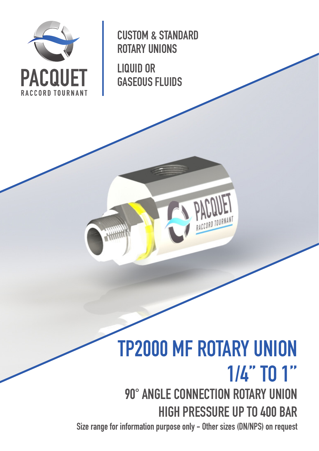

CUSTOM & STANDARD ROTARY UNIONS

LIQUID OR GASEOUS FLUIDS

a Hit

# TP2000 MF ROTARY UNION 1/4'' TO 1'' 90° ANGLE CONNECTION ROTARY UNION HIGH PRESSURE UP TO 400 BAR

Size range for information purpose only - Other sizes (DN/NPS) on request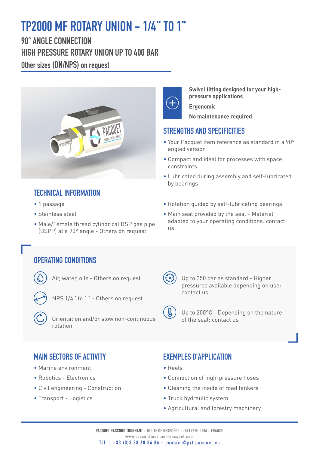## TP2000 MF ROTARY UNION - 1/4'' TO 1''

90° ANGLE CONNECTION HIGH PRESSURE ROTARY UNION UP TO 400 BAR Other sizes (DN/NPS) on request



### TECHNICAL INFORMATION

- 1 passage
- Stainless steel
- Male/Female thread cylindrical BSP gas pipe (BSPP) at a 90° angle - Others on request



**Swivel fitting designed for your highpressure applications Ergonomic**

**No maintenance required**

#### STRENGTHS AND SPECIFICITIES

- Your Pacquet item reference as standard in a 90° angled version
- Compact and ideal for processes with space constraints
- Lubricated during assembly and self-lubricated by bearings
- Rotation guided by self-lubricating bearings
- Main seal provided by the seal Material adapted to your operating conditions: contact us

#### OPERATING CONDITIONS

Air, water, oils - Others on request



NPS 1/4'' to 1'' - Others on request

 Orientation and/or slow non-continuous rotation



 Up to 350 bar as standard - Higher pressures available depending on use: contact us

 Up to 200°C - Depending on the nature of the seal: contact us

#### MAIN SECTORS OF ACTIVITY

- Marine environment
- Robotics Electronics
- Civil engineering Construction
- Transport Logistics

#### EXEMPLES D'APPLICATION

- Reels
- Connection of high-pressure hoses
- Cleaning the inside of road tankers
- Truck hydraulic system
- Agricultural and forestry machinery